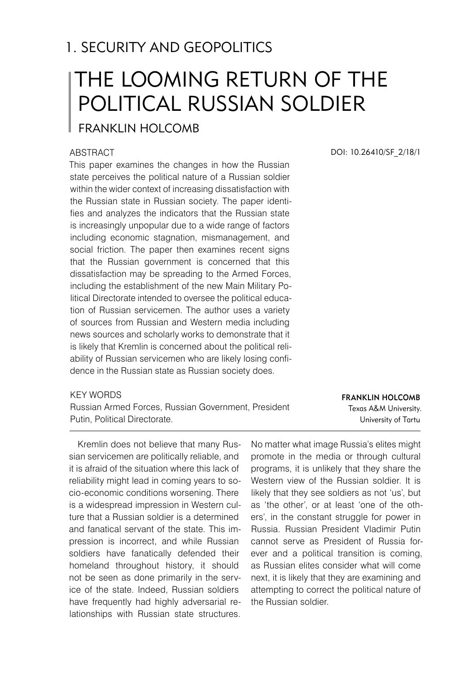# 1. SECURITY AND GEOPOLITICS

# The Looming Return of the Political Russian Soldier

## Franklin HOLCOMB

#### **ABSTRACT**

This paper examines the changes in how the Russian state perceives the political nature of a Russian soldier within the wider context of increasing dissatisfaction with the Russian state in Russian society. The paper identifies and analyzes the indicators that the Russian state is increasingly unpopular due to a wide range of factors including economic stagnation, mismanagement, and social friction. The paper then examines recent signs that the Russian government is concerned that this dissatisfaction may be spreading to the Armed Forces, including the establishment of the new Main Military Political Directorate intended to oversee the political education of Russian servicemen. The author uses a variety of sources from Russian and Western media including news sources and scholarly works to demonstrate that it is likely that Kremlin is concerned about the political reliability of Russian servicemen who are likely losing confidence in the Russian state as Russian society does.

#### KFY WORDS

Russian Armed Forces, Russian Government, President Putin, Political Directorate.

Kremlin does not believe that many Russian servicemen are politically reliable, and it is afraid of the situation where this lack of reliability might lead in coming years to socio-economic conditions worsening. There is a widespread impression in Western culture that a Russian soldier is a determined and fanatical servant of the state. This impression is incorrect, and while Russian soldiers have fanatically defended their homeland throughout history, it should not be seen as done primarily in the service of the state. Indeed, Russian soldiers have frequently had highly adversarial relationships with Russian state structures.

No matter what image Russia's elites might promote in the media or through cultural programs, it is unlikely that they share the Western view of the Russian soldier. It is likely that they see soldiers as not 'us', but as 'the other', or at least 'one of the others', in the constant struggle for power in Russia. Russian President Vladimir Putin cannot serve as President of Russia forever and a political transition is coming, as Russian elites consider what will come next, it is likely that they are examining and attempting to correct the political nature of the Russian soldier.

Franklin HOLCOMB Texas A&M University. University of Tartu

DOI: 10.26410/SF\_2/18/1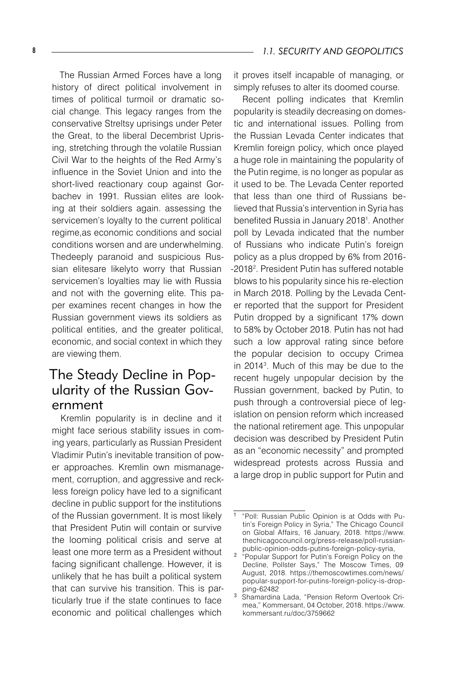The Russian Armed Forces have a long history of direct political involvement in times of political turmoil or dramatic social change. This legacy ranges from the conservative Streltsy uprisings under Peter the Great, to the liberal Decembrist Uprising, stretching through the volatile Russian Civil War to the heights of the Red Army's influence in the Soviet Union and into the short-lived reactionary coup against Gorbachev in 1991. Russian elites are looking at their soldiers again. assessing the servicemen's loyalty to the current political regime,as economic conditions and social conditions worsen and are underwhelming. Thedeeply paranoid and suspicious Russian elitesare likelyto worry that Russian servicemen's loyalties may lie with Russia and not with the governing elite. This paper examines recent changes in how the Russian government views its soldiers as political entities, and the greater political, economic, and social context in which they are viewing them.

## The Steady Decline in Popularity of the Russian Government

Kremlin popularity is in decline and it might face serious stability issues in coming years, particularly as Russian President Vladimir Putin's inevitable transition of power approaches. Kremlin own mismanagement, corruption, and aggressive and reckless foreign policy have led to a significant decline in public support for the institutions of the Russian government. It is most likely that President Putin will contain or survive the looming political crisis and serve at least one more term as a President without facing significant challenge. However, it is unlikely that he has built a political system that can survive his transition. This is particularly true if the state continues to face economic and political challenges which

it proves itself incapable of managing, or simply refuses to alter its doomed course.

Recent polling indicates that Kremlin popularity is steadily decreasing on domestic and international issues. Polling from the Russian Levada Center indicates that Kremlin foreign policy, which once played a huge role in maintaining the popularity of the Putin regime, is no longer as popular as it used to be. The Levada Center reported that less than one third of Russians believed that Russia's intervention in Syria has benefited Russia in January 2018<sup>1</sup> . Another poll by Levada indicated that the number of Russians who indicate Putin's foreign policy as a plus dropped by 6% from 2016- -2018<sup>2</sup> . President Putin has suffered notable blows to his popularity since his re-election in March 2018. Polling by the Levada Center reported that the support for President Putin dropped by a significant 17% down to 58% by October 2018. Putin has not had such a low approval rating since before the popular decision to occupy Crimea in 2014<sup>3</sup> . Much of this may be due to the recent hugely unpopular decision by the Russian government, backed by Putin, to push through a controversial piece of legislation on pension reform which increased the national retirement age. This unpopular decision was described by President Putin as an "economic necessity" and prompted widespread protests across Russia and a large drop in public support for Putin and

<sup>&</sup>lt;sup>1</sup> "Poll: Russian Public Opinion is at Odds with Putin's Foreign Policy in Syria," The Chicago Council on Global Affairs, 16 January, 2018. https://www. thechicagocouncil.org/press-release/poll-russianpublic-opinion-odds-putins-foreign-policy-syria,

"Popular Support for Putin's Foreign Policy on the Decline, Pollster Says," The Moscow Times, 09 August, 2018. https://themoscowtimes.com/news/ popular-support-for-putins-foreign-policy-is-dropping-62482

<sup>&</sup>lt;sup>3</sup> Shamardina Lada, "Pension Reform Overtook Crimea," Kommersant, 04 October, 2018. https://www. kommersant.ru/doc/3759662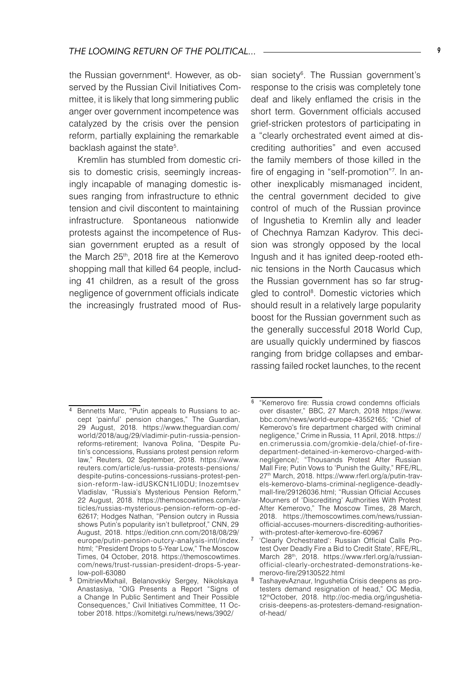the Russian government<sup>4</sup> . However, as observed by the Russian Civil Initiatives Committee, it is likely that long simmering public anger over government incompetence was catalyzed by the crisis over the pension reform, partially explaining the remarkable backlash against the state<sup>5</sup>.

Kremlin has stumbled from domestic crisis to domestic crisis, seemingly increasingly incapable of managing domestic issues ranging from infrastructure to ethnic tension and civil discontent to maintaining infrastructure. Spontaneous nationwide protests against the incompetence of Russian government erupted as a result of the March 25<sup>th</sup>, 2018 fire at the Kemerovo shopping mall that killed 64 people, including 41 children, as a result of the gross negligence of government officials indicate the increasingly frustrated mood of Rus-

sian society<sup>6</sup>. The Russian government's response to the crisis was completely tone deaf and likely enflamed the crisis in the short term. Government officials accused grief-stricken protestors of participating in a "clearly orchestrated event aimed at discrediting authorities" and even accused the family members of those killed in the fire of engaging in "self-promotion"<sup>7</sup> . In another inexplicably mismanaged incident, the central government decided to give control of much of the Russian province of Ingushetia to Kremlin ally and leader of Chechnya Ramzan Kadyrov. This decision was strongly opposed by the local Ingush and it has ignited deep-rooted ethnic tensions in the North Caucasus which the Russian government has so far struggled to control8 . Domestic victories which should result in a relatively large popularity boost for the Russian government such as the generally successful 2018 World Cup, are usually quickly undermined by fiascos ranging from bridge collapses and embarrassing failed rocket launches, to the recent

<sup>&</sup>lt;sup>4</sup> Bennetts Marc, "Putin appeals to Russians to accept 'painful' pension changes," The Guardian, 29 August, 2018. https://www.theguardian.com/ world/2018/aug/29/vladimir-putin-russia-pensionreforms-retirement; Ivanova Polina, "Despite Putin's concessions, Russians protest pension reform law," Reuters, 02 September, 2018. https://www. reuters.com/article/us-russia-protests-pensions/ despite-putins-concessions-russians-protest-pension-reform-law-idUSKCN1LI0DU; Inozemtsev Vladislav, "Russia's Mysterious Pension Reform," 22 August, 2018. https://themoscowtimes.com/articles/russias-mysterious-pension-reform-op-ed-62617; Hodges Nathan, "Pension outcry in Russia shows Putin's popularity isn't bulletproof," CNN, 29 August, 2018. https://edition.cnn.com/2018/08/29/ europe/putin-pension-outcry-analysis-intl/index. html; "President Drops to 5-Year Low," The Moscow Times, 04 October, 2018. https://themoscowtimes. com/news/trust-russian-president-drops-5-yearlow-poll-63080

DmitrievMixhail, Belanovskiy Sergey, Nikolskaya Anastasiya, "OIG Presents a Report "Signs of a Change In Public Sentiment and Their Possible Consequences," Civil Initiatives Committee, 11 October 2018. https://komitetgi.ru/news/news/3902/

<sup>&</sup>lt;sup>6</sup> "Kemerovo fire: Russia crowd condemns officials over disaster," BBC, 27 March, 2018 https://www. bbc.com/news/world-europe-43552165; "Chief of Kemerovo's fire department charged with criminal negligence," Crime in Russia, 11 April, 2018. https:// en.crimerussia.com/gromkie-dela/chief-of-firedepartment-detained-in-kemerovo-charged-withnegligence/; "Thousands Protest After Russian Mall Fire; Putin Vows to 'Punish the Guilty," RFE/RL, 27th March, 2018. https://www.rferl.org/a/putin-travels-kemerovo-blams-criminal-negligence-deadlymall-fire/29126036.html; "Russian Official Accuses Mourners of 'Discrediting' Authorities With Protest After Kemerovo," The Moscow Times, 28 March, 2018. https://themoscowtimes.com/news/russianofficial-accuses-mourners-discrediting-authoritieswith-protest-after-kemerovo-fire-60967

<sup>&</sup>lt;sup>7</sup> 'Clearly Orchestrated': Russian Official Calls Protest Over Deadly Fire a Bid to Credit State', RFE/RL, March 28<sup>th</sup>, 2018. https://www.rferl.org/a/russianofficial-clearly-orchestrated-demonstrations-kemerovo-fire/29130522.html

TashayevAznaur, Ingushetia Crisis deepens as protesters demand resignation of head," OC Media, 12thOctober, 2018. http://oc-media.org/ingushetiacrisis-deepens-as-protesters-demand-resignationof-head/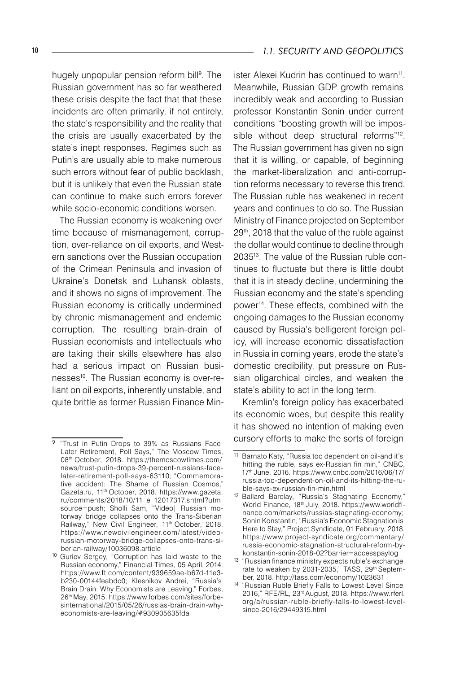hugely unpopular pension reform bill<sup>9</sup>. The Russian government has so far weathered these crisis despite the fact that that these incidents are often primarily, if not entirely, the state's responsibility and the reality that the crisis are usually exacerbated by the state's inept responses. Regimes such as Putin's are usually able to make numerous such errors without fear of public backlash, but it is unlikely that even the Russian state can continue to make such errors forever while socio-economic conditions worsen.

The Russian economy is weakening over time because of mismanagement, corruption, over-reliance on oil exports, and Western sanctions over the Russian occupation of the Crimean Peninsula and invasion of Ukraine's Donetsk and Luhansk oblasts, and it shows no signs of improvement. The Russian economy is critically undermined by chronic mismanagement and endemic corruption. The resulting brain-drain of Russian economists and intellectuals who are taking their skills elsewhere has also had a serious impact on Russian businesses<sup>10</sup>. The Russian economy is over-reliant on oil exports, inherently unstable, and quite brittle as former Russian Finance Min-

ister Alexei Kudrin has continued to warn<sup>11</sup>. Meanwhile, Russian GDP growth remains incredibly weak and according to Russian professor Konstantin Sonin under current conditions "boosting growth will be impossible without deep structural reforms"<sup>12</sup>. The Russian government has given no sign that it is willing, or capable, of beginning the market-liberalization and anti-corruption reforms necessary to reverse this trend. The Russian ruble has weakened in recent years and continues to do so. The Russian Ministry of Finance projected on September 29th, 2018 that the value of the ruble against the dollar would continue to decline through 203513. The value of the Russian ruble continues to fluctuate but there is little doubt that it is in steady decline, undermining the Russian economy and the state's spending power<sup>14</sup>. These effects, combined with the ongoing damages to the Russian economy caused by Russia's belligerent foreign policy, will increase economic dissatisfaction in Russia in coming years, erode the state's domestic credibility, put pressure on Russian oligarchical circles, and weaken the state's ability to act in the long term.

Kremlin's foreign policy has exacerbated its economic woes, but despite this reality it has showed no intention of making even cursory efforts to make the sorts of foreign

<sup>&</sup>lt;sup>9</sup> "Trust in Putin Drops to 39% as Russians Face Later Retirement, Poll Says," The Moscow Times, 08th October, 2018. https://themoscowtimes.com/ news/trust-putin-drops-39-percent-russians-facelater-retirement-poll-says-63110; "Commemorative accident: The Shame of Russian Cosmos," Gazeta.ru, 11<sup>th</sup> October, 2018. https://www.gazeta. ru/comments/2018/10/11\_e\_12017317.shtml?utm\_ source=push; Sholli Sam, "Video| Russian motorway bridge collapses onto the Trans-Siberian Railway," New Civil Engineer, 11<sup>th</sup> October, 2018. https://www.newcivilengineer.com/latest/videorussian-motorway-bridge-collapses-onto-trans-siberian-railway/10036098.article

<sup>10</sup> Guriev Sergey, "Corruption has laid waste to the Russian economy," Financial Times, 05 April, 2014. https://www.ft.com/content/939659ae-b67d-11e3 b230-00144feabdc0; Klesnikov Andrei, "Russia's Brain Drain: Why Economists are Leaving," Forbes, 26th May, 2015. https://www.forbes.com/sites/forbesinternational/2015/05/26/russias-brain-drain-whyeconomists-are-leaving/#930905635fda

<sup>11</sup> Barnato Katy, "Russia too dependent on oil-and it's hitting the ruble, says ex-Russian fin min," CNBC, 17th June, 2016. https://www.cnbc.com/2016/06/17/ russia-too-dependent-on-oil-and-its-hitting-the-ruble-says-ex-russian-fin-min.html

<sup>12</sup> Ballard Barclay, "Russia's Stagnating Economy," World Finance, 18<sup>th</sup> July, 2018. https://www.worldfinance.com/markets/russias-stagnating-economy; Sonin Konstantin, "Russia's Economic Stagnation is Here to Stay," Project Syndicate, 01 February, 2018. https://www.project-syndicate.org/commentary/ russia-economic-stagnation-structural-reform-bykonstantin-sonin-2018-02?barrier=accesspaylog

<sup>13</sup> "Russian finance ministry expects ruble's exchange rate to weaken by 2031-2035," TASS, 29<sup>th</sup> September, 2018. http://tass.com/economy/1023631

<sup>14</sup> "Russian Ruble Briefly Falls to Lowest Level Since 2016," RFE/RL, 23rd August, 2018. https://www.rferl. org/a/russian-ruble-briefly-falls-to-lowest-levelsince-2016/29449315.html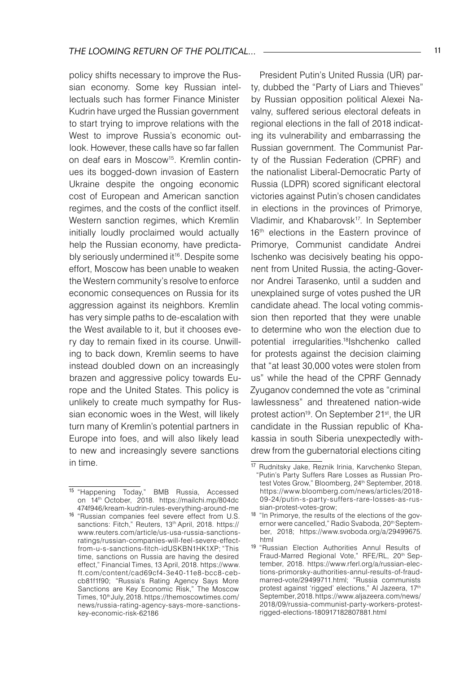policy shifts necessary to improve the Russian economy. Some key Russian intellectuals such has former Finance Minister Kudrin have urged the Russian government to start trying to improve relations with the West to improve Russia's economic outlook. However, these calls have so far fallen on deaf ears in Moscow<sup>15</sup>. Kremlin continues its bogged-down invasion of Eastern Ukraine despite the ongoing economic cost of European and American sanction regimes, and the costs of the conflict itself. Western sanction regimes, which Kremlin initially loudly proclaimed would actually help the Russian economy, have predictably seriously undermined it<sup>16</sup>. Despite some effort, Moscow has been unable to weaken the Western community's resolve to enforce economic consequences on Russia for its aggression against its neighbors. Kremlin has very simple paths to de-escalation with the West available to it, but it chooses every day to remain fixed in its course. Unwilling to back down, Kremlin seems to have instead doubled down on an increasingly brazen and aggressive policy towards Europe and the United States. This policy is unlikely to create much sympathy for Russian economic woes in the West, will likely turn many of Kremlin's potential partners in Europe into foes, and will also likely lead to new and increasingly severe sanctions in time.

President Putin's United Russia (UR) party, dubbed the "Party of Liars and Thieves" by Russian opposition political Alexei Navalny, suffered serious electoral defeats in regional elections in the fall of 2018 indicating its vulnerability and embarrassing the Russian government. The Communist Party of the Russian Federation (CPRF) and the nationalist Liberal-Democratic Party of Russia (LDPR) scored significant electoral victories against Putin's chosen candidates in elections in the provinces of Primorye, Vladimir, and Khabarovsk<sup>17</sup>. In September 16<sup>th</sup> elections in the Eastern province of Primorye, Communist candidate Andrei Ischenko was decisively beating his opponent from United Russia, the acting-Governor Andrei Tarasenko, until a sudden and unexplained surge of votes pushed the UR candidate ahead. The local voting commission then reported that they were unable to determine who won the election due to potential irregularities.<sup>18</sup>Ishchenko called for protests against the decision claiming that "at least 30,000 votes were stolen from us" while the head of the CPRF Gennady Zyuganov condemned the vote as "criminal lawlessness" and threatened nation-wide protest action<sup>19</sup>. On September 21<sup>st</sup>, the UR candidate in the Russian republic of Khakassia in south Siberia unexpectedly withdrew from the gubernatorial elections citing

<sup>15</sup> "Happening Today," BMB Russia, Accessed on 14th October, 2018. https://mailchi.mp/804dc 474f946/kream-kudrin-rules-everything-around-me

<sup>16</sup> "Russian companies feel severe effect from U.S. sanctions: Fitch," Reuters, 13th April, 2018. https:// www.reuters.com/article/us-usa-russia-sanctionsratings/russian-companies-will-feel-severe-effectfrom-u-s-sanctions-fitch-idUSKBN1HK1XP; "This time, sanctions on Russia are having the desired effect," Financial Times, 13 April, 2018. https://www. ft.com/content/cad69cf4-3e40-11e8-bcc8-cebcb81f1f90; "Russia's Rating Agency Says More Sanctions are Key Economic Risk," The Moscow Times, 10th July, 2018. https://themoscowtimes.com/ news/russia-rating-agency-says-more-sanctionskey-economic-risk-62186

<sup>17</sup> Rudnitsky Jake, Reznik Irinia, Karvchenko Stepan, "Putin's Party Suffers Rare Losses as Russian Protest Votes Grow," Bloomberg, 24<sup>th</sup> September, 2018. https://www.bloomberg.com/news/articles/2018- 09-24/putin-s-party-suffers-rare-losses-as-russian-protest-votes-grow;

<sup>&</sup>lt;sup>18</sup> "In Primorye, the results of the elections of the governor were cancelled," Radio Svaboda, 20<sup>th</sup> September, 2018; https://www.svoboda.org/a/29499675. html

<sup>19</sup> "Russian Election Authorities Annul Results of Fraud-Marred Regional Vote," RFE/RL, 20<sup>th</sup> September, 2018. https://www.rferl.org/a/russian-elections-primorsky-authorities-annul-results-of-fraudmarred-vote/29499711.html; "Russia communists protest against 'rigged' elections," Al Jazeera, 17<sup>th</sup> September, 2018. https://www.aljazeera.com/news/ 2018/09/russia-communist-party-workers-protestrigged-elections-180917182807881.html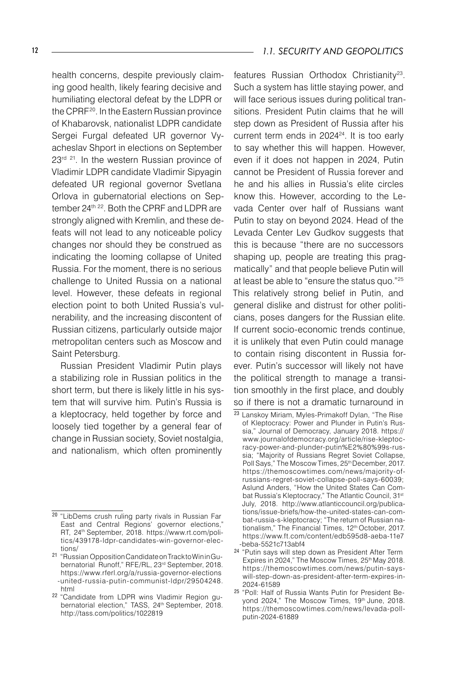health concerns, despite previously claiming good health, likely fearing decisive and humiliating electoral defeat by the LDPR or the CPRF20. In the Eastern Russian province of Khabarovsk, nationalist LDPR candidate Sergei Furgal defeated UR governor Vyacheslav Shport in elections on September 23<sup>rd 21</sup>. In the western Russian province of Vladimir LDPR candidate Vladimir Sipyagin defeated UR regional governor Svetlana Orlova in gubernatorial elections on September 24<sup>th 22</sup>. Both the CPRF and LDPR are strongly aligned with Kremlin, and these defeats will not lead to any noticeable policy changes nor should they be construed as indicating the looming collapse of United Russia. For the moment, there is no serious challenge to United Russia on a national level. However, these defeats in regional election point to both United Russia's vulnerability, and the increasing discontent of Russian citizens, particularly outside major metropolitan centers such as Moscow and Saint Petersburg.

Russian President Vladimir Putin plays a stabilizing role in Russian politics in the short term, but there is likely little in his system that will survive him. Putin's Russia is a kleptocracy, held together by force and loosely tied together by a general fear of change in Russian society, Soviet nostalgia, and nationalism, which often prominently

features Russian Orthodox Christianity<sup>23</sup>. Such a system has little staying power, and will face serious issues during political transitions. President Putin claims that he will step down as President of Russia after his current term ends in 2024<sup>24</sup>. It is too early to say whether this will happen. However, even if it does not happen in 2024, Putin cannot be President of Russia forever and he and his allies in Russia's elite circles know this. However, according to the Levada Center over half of Russians want Putin to stay on beyond 2024. Head of the Levada Center Lev Gudkov suggests that this is because "there are no successors shaping up, people are treating this pragmatically" and that people believe Putin will at least be able to "ensure the status quo."<sup>25</sup> This relatively strong belief in Putin, and general dislike and distrust for other politicians, poses dangers for the Russian elite. If current socio-economic trends continue, it is unlikely that even Putin could manage to contain rising discontent in Russia forever. Putin's successor will likely not have the political strength to manage a transition smoothly in the first place, and doubly so if there is not a dramatic turnaround in

<sup>20</sup> "LibDems crush ruling party rivals in Russian Far East and Central Regions' governor elections," RT, 24th September, 2018. https://www.rt.com/politics/439178-ldpr-candidates-win-governor-elections/

<sup>21</sup> "Russian Opposition Candidate on Track to Win in Gubernatorial Runoff," RFE/RL, 23rd September, 2018. https://www.rferl.org/a/russia-governor-elections -united-russia-putin-communist-ldpr/29504248. html

<sup>&</sup>lt;sup>22</sup> "Candidate from LDPR wins Vladimir Region gubernatorial election," TASS, 24<sup>th</sup> September, 2018. http://tass.com/politics/1022819

<sup>23</sup> Lanskoy Miriam, Myles-Primakoff Dylan, "The Rise of Kleptocracy: Power and Plunder in Putin's Russia," Journal of Democracy, January 2018. https:// www.journalofdemocracy.org/article/rise-kleptocracy-power-and-plunder-putin%E2%80%99s-russia; "Majority of Russians Regret Soviet Collapse, Poll Says," The Moscow Times, 25<sup>th</sup> December, 2017. https://themoscowtimes.com/news/majority-ofrussians-regret-soviet-collapse-poll-says-60039; Aslund Anders, "How the United States Can Combat Russia's Kleptocracy," The Atlantic Council, 31<sup>st</sup> July, 2018. http://www.atlanticcouncil.org/publications/issue-briefs/how-the-united-states-can-combat-russia-s-kleptocracy; "The return of Russian nationalism," The Financial Times, 12th October, 2017. https://www.ft.com/content/edb595d8-aeba-11e7 -beba-5521c713abf4

<sup>24</sup> "Putin says will step down as President After Term Expires in 2024," The Moscow Times, 25<sup>th</sup> May 2018. https://themoscowtimes.com/news/putin-sayswill-step-down-as-president-after-term-expires-in-2024-61589

<sup>25</sup> "Poll: Half of Russia Wants Putin for President Beyond 2024," The Moscow Times, 19th June, 2018. https://themoscowtimes.com/news/levada-pollputin-2024-61889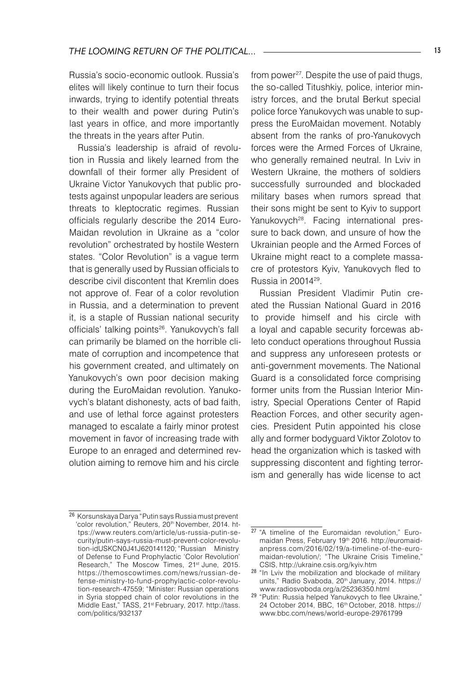Russia's socio-economic outlook. Russia's elites will likely continue to turn their focus inwards, trying to identify potential threats to their wealth and power during Putin's last years in office, and more importantly the threats in the years after Putin.

Russia's leadership is afraid of revolution in Russia and likely learned from the downfall of their former ally President of Ukraine Victor Yanukovych that public protests against unpopular leaders are serious threats to kleptocratic regimes. Russian officials regularly describe the 2014 Euro-Maidan revolution in Ukraine as a "color revolution" orchestrated by hostile Western states. "Color Revolution" is a vague term that is generally used by Russian officials to describe civil discontent that Kremlin does not approve of. Fear of a color revolution in Russia, and a determination to prevent it, is a staple of Russian national security officials' talking points<sup>26</sup>. Yanukovych's fall can primarily be blamed on the horrible climate of corruption and incompetence that his government created, and ultimately on Yanukovych's own poor decision making during the EuroMaidan revolution. Yanukovych's blatant dishonesty, acts of bad faith, and use of lethal force against protesters managed to escalate a fairly minor protest movement in favor of increasing trade with Europe to an enraged and determined revolution aiming to remove him and his circle

from power<sup>27</sup>. Despite the use of paid thugs, the so-called Titushkiy, police, interior ministry forces, and the brutal Berkut special police force Yanukovych was unable to suppress the EuroMaidan movement. Notably absent from the ranks of pro-Yanukovych forces were the Armed Forces of Ukraine, who generally remained neutral. In Lviv in Western Ukraine, the mothers of soldiers successfully surrounded and blockaded military bases when rumors spread that their sons might be sent to Kyiv to support Yanukovych<sup>28</sup>. Facing international pressure to back down, and unsure of how the Ukrainian people and the Armed Forces of Ukraine might react to a complete massacre of protestors Kyiv, Yanukovych fled to Russia in 2001429.

Russian President Vladimir Putin created the Russian National Guard in 2016 to provide himself and his circle with a loyal and capable security forcewas ableto conduct operations throughout Russia and suppress any unforeseen protests or anti-government movements. The National Guard is a consolidated force comprising former units from the Russian Interior Ministry, Special Operations Center of Rapid Reaction Forces, and other security agencies. President Putin appointed his close ally and former bodyguard Viktor Zolotov to head the organization which is tasked with suppressing discontent and fighting terrorism and generally has wide license to act

<sup>26</sup> Korsunskaya Darya "Putin says Russia must prevent 'color revolution," Reuters, 20<sup>th</sup> November, 2014. https://www.reuters.com/article/us-russia-putin-security/putin-says-russia-must-prevent-color-revolution-idUSKCN0J41J620141120; "Russian Ministry of Defense to Fund Prophylactic 'Color Revolution' Research," The Moscow Times, 21<sup>st</sup> June, 2015. https://themoscowtimes.com/news/russian-defense-ministry-to-fund-prophylactic-color-revolution-research-47559; "Minister: Russian operations in Syria stopped chain of color revolutions in the Middle East," TASS, 21st February, 2017. http://tass. com/politics/932137

<sup>&</sup>lt;sup>27</sup> "A timeline of the Euromaidan revolution," Euromaidan Press, February 19<sup>th</sup> 2016. http://euromaidanpress.com/2016/02/19/a-timeline-of-the-euromaidan-revolution/; "The Ukraine Crisis Timeline," CSIS, http://ukraine.csis.org/kyiv.htm

<sup>28</sup> "In Lviv the mobilization and blockade of military units," Radio Svaboda, 20<sup>th</sup> January, 2014. https:// www.radiosvoboda.org/a/25236350.html

<sup>29</sup> "Putin: Russia helped Yanukovych to flee Ukraine," 24 October 2014, BBC, 16th October, 2018. https:// www.bbc.com/news/world-europe-29761799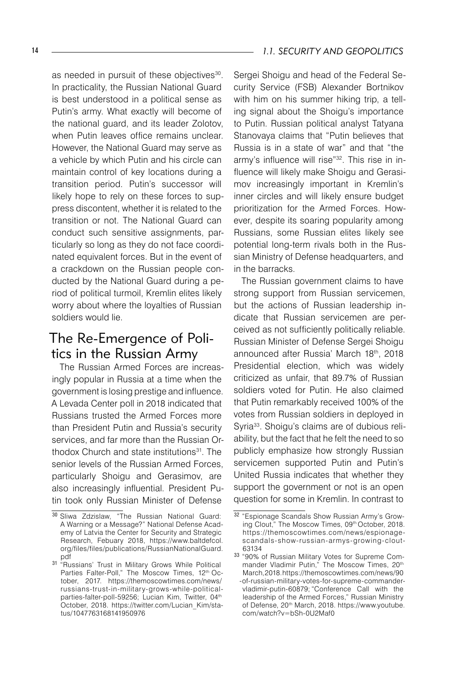as needed in pursuit of these objectives<sup>30</sup>. In practicality, the Russian National Guard is best understood in a political sense as Putin's army. What exactly will become of the national guard, and its leader Zolotov, when Putin leaves office remains unclear. However, the National Guard may serve as a vehicle by which Putin and his circle can maintain control of key locations during a transition period. Putin's successor will likely hope to rely on these forces to suppress discontent, whether it is related to the transition or not. The National Guard can conduct such sensitive assignments, particularly so long as they do not face coordinated equivalent forces. But in the event of a crackdown on the Russian people conducted by the National Guard during a period of political turmoil, Kremlin elites likely worry about where the loyalties of Russian soldiers would lie.

## The Re-Emergence of Politics in the Russian Army

The Russian Armed Forces are increasingly popular in Russia at a time when the government is losing prestige and influence. A Levada Center poll in 2018 indicated that Russians trusted the Armed Forces more than President Putin and Russia's security services, and far more than the Russian Orthodox Church and state institutions<sup>31</sup>. The senior levels of the Russian Armed Forces, particularly Shoigu and Gerasimov, are also increasingly influential. President Putin took only Russian Minister of Defense

Sergei Shoigu and head of the Federal Security Service (FSB) Alexander Bortnikov with him on his summer hiking trip, a telling signal about the Shoigu's importance to Putin. Russian political analyst Tatyana Stanovaya claims that "Putin believes that Russia is in a state of war" and that "the army's influence will rise"32. This rise in influence will likely make Shoigu and Gerasimov increasingly important in Kremlin's inner circles and will likely ensure budget prioritization for the Armed Forces. However, despite its soaring popularity among Russians, some Russian elites likely see potential long-term rivals both in the Russian Ministry of Defense headquarters, and in the barracks.

The Russian government claims to have strong support from Russian servicemen, but the actions of Russian leadership indicate that Russian servicemen are perceived as not sufficiently politically reliable. Russian Minister of Defense Sergei Shoigu announced after Russia' March 18th, 2018 Presidential election, which was widely criticized as unfair, that 89.7% of Russian soldiers voted for Putin. He also claimed that Putin remarkably received 100% of the votes from Russian soldiers in deployed in Syria33. Shoigu's claims are of dubious reliability, but the fact that he felt the need to so publicly emphasize how strongly Russian servicemen supported Putin and Putin's United Russia indicates that whether they support the government or not is an open question for some in Kremlin. In contrast to

<sup>30</sup> Sliwa Zdzislaw, "The Russian National Guard: A Warning or a Message?" National Defense Academy of Latvia the Center for Security and Strategic Research, Febuary 2018, https://www.baltdefcol. org/files/files/publications/RussianNationalGuard. pdf<br><sup>31</sup> "Russians' Trust in Military Grows While Political

Parties Falter-Poll." The Moscow Times, 12<sup>th</sup> October, 2017. https://themoscowtimes.com/news/ russians-trust-in-military-grows-while-politicalparties-falter-poll-59256; Lucian Kim, Twitter, 04<sup>th</sup> October, 2018. https://twitter.com/Lucian\_Kim/status/1047763168141950976

<sup>32</sup> "Espionage Scandals Show Russian Army's Growing Clout," The Moscow Times, 09th October, 2018. https://themoscowtimes.com/news/espionagescandals-show-russian-armys-growing-clout-63134

<sup>33</sup> "90% of Russian Military Votes for Supreme Commander Vladimir Putin," The Moscow Times, 20<sup>th</sup> March, 2018. https://themoscowtimes.com/news/90 -of-russian-military-votes-for-supreme-commandervladimir-putin-60879; "Conference Call with the leadership of the Armed Forces," Russian Ministry of Defense, 20<sup>th</sup> March, 2018. https://www.youtube. com/watch?v=bSh-0U2Maf0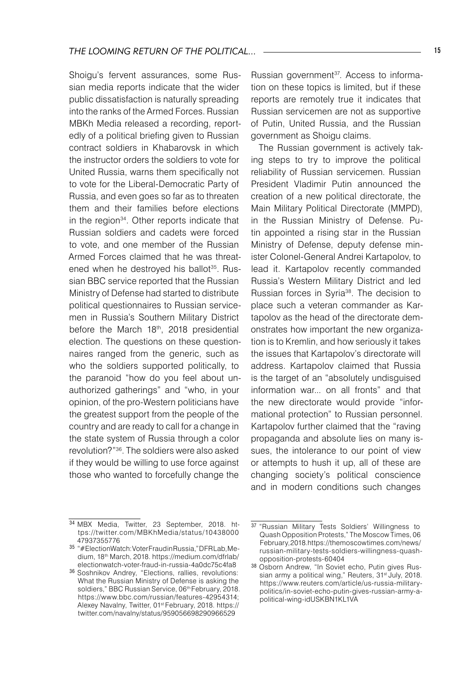Shoigu's fervent assurances, some Russian media reports indicate that the wider public dissatisfaction is naturally spreading into the ranks of the Armed Forces. Russian MBKh Media released a recording, reportedly of a political briefing given to Russian contract soldiers in Khabarovsk in which the instructor orders the soldiers to vote for United Russia, warns them specifically not to vote for the Liberal-Democratic Party of Russia, and even goes so far as to threaten them and their families before elections in the region34. Other reports indicate that Russian soldiers and cadets were forced to vote, and one member of the Russian Armed Forces claimed that he was threatened when he destroyed his ballot<sup>35</sup>. Russian BBC service reported that the Russian Ministry of Defense had started to distribute political questionnaires to Russian servicemen in Russia's Southern Military District before the March 18<sup>th</sup>, 2018 presidential election. The questions on these questionnaires ranged from the generic, such as who the soldiers supported politically, to the paranoid "how do you feel about unauthorized gatherings" and "who, in your opinion, of the pro-Western politicians have the greatest support from the people of the country and are ready to call for a change in the state system of Russia through a color revolution?"<sup>36</sup>. The soldiers were also asked if they would be willing to use force against those who wanted to forcefully change the

Russian government<sup>37</sup>. Access to information on these topics is limited, but if these reports are remotely true it indicates that Russian servicemen are not as supportive of Putin, United Russia, and the Russian government as Shoigu claims.

The Russian government is actively taking steps to try to improve the political reliability of Russian servicemen. Russian President Vladimir Putin announced the creation of a new political directorate, the Main Military Political Directorate (MMPD), in the Russian Ministry of Defense. Putin appointed a rising star in the Russian Ministry of Defense, deputy defense minister Colonel-General Andrei Kartapolov, to lead it. Kartapolov recently commanded Russia's Western Military District and led Russian forces in Syria38. The decision to place such a veteran commander as Kartapolov as the head of the directorate demonstrates how important the new organization is to Kremlin, and how seriously it takes the issues that Kartapolov's directorate will address. Kartapolov claimed that Russia is the target of an "absolutely undisguised information war... on all fronts" and that the new directorate would provide "informational protection" to Russian personnel. Kartapolov further claimed that the "raving propaganda and absolute lies on many issues, the intolerance to our point of view or attempts to hush it up, all of these are changing society's political conscience and in modern conditions such changes

<sup>34</sup> MBX Media, Twitter, 23 September, 2018. https://twitter.com/MBKhMedia/status/10438000 47937355776

<sup>35</sup> "#ElectionWatch: Voter Fraud in Russia," DFR Lab, Medium, 18th March, 2018. https://medium.com/dfrlab/ electionwatch-voter-fraud-in-russia-4a0dc75c4fa8

<sup>36</sup> Soshnikov Andrey, "Elections, rallies, revolutions: What the Russian Ministry of Defense is asking the soldiers," BBC Russian Service, 06<sup>th</sup> February, 2018. https://www.bbc.com/russian/features-42954314; Alexey Navalny, Twitter, 01st February, 2018. https:// twitter.com/navalny/status/959056698290966529

<sup>37 &</sup>quot;Russian Military Tests Soldiers' Willingness to Quash Opposition Protests," The Moscow Times, 06 February, 2018.https://themoscowtimes.com/news/ russian-military-tests-soldiers-willingness-quashopposition-protests-60404

<sup>38</sup> Osborn Andrew, "In Soviet echo, Putin gives Russian army a political wing," Reuters, 31<sup>st J</sup>uly, 2018. https://www.reuters.com/article/us-russia-militarypolitics/in-soviet-echo-putin-gives-russian-army-apolitical-wing-idUSKBN1KL1VA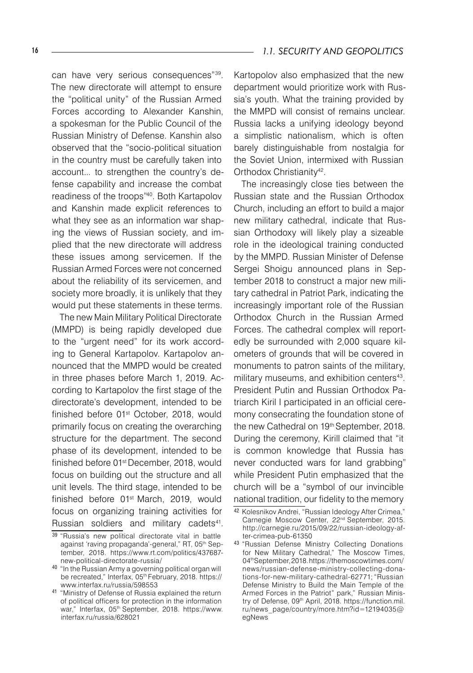can have very serious consequences"39. The new directorate will attempt to ensure the "political unity" of the Russian Armed Forces according to Alexander Kanshin, a spokesman for the Public Council of the Russian Ministry of Defense. Kanshin also observed that the "socio-political situation in the country must be carefully taken into account... to strengthen the country's defense capability and increase the combat readiness of the troops"40. Both Kartapolov and Kanshin made explicit references to what they see as an information war shaping the views of Russian society, and implied that the new directorate will address these issues among servicemen. If the Russian Armed Forces were not concerned about the reliability of its servicemen, and society more broadly, it is unlikely that they would put these statements in these terms.

The new Main Military Political Directorate (MMPD) is being rapidly developed due to the "urgent need" for its work according to General Kartapolov. Kartapolov announced that the MMPD would be created in three phases before March 1, 2019. According to Kartapolov the first stage of the directorate's development, intended to be finished before 01<sup>st</sup> October, 2018, would primarily focus on creating the overarching structure for the department. The second phase of its development, intended to be finished before 01<sup>st</sup> December, 2018, would focus on building out the structure and all unit levels. The third stage, intended to be finished before 01<sup>st</sup> March, 2019, would focus on organizing training activities for Russian soldiers and military cadets<sup>41</sup>.

Kartopolov also emphasized that the new department would prioritize work with Russia's youth. What the training provided by the MMPD will consist of remains unclear. Russia lacks a unifying ideology beyond a simplistic nationalism, which is often barely distinguishable from nostalgia for the Soviet Union, intermixed with Russian Orthodox Christianity<sup>42</sup>.

The increasingly close ties between the Russian state and the Russian Orthodox Church, including an effort to build a major new military cathedral, indicate that Russian Orthodoxy will likely play a sizeable role in the ideological training conducted by the MMPD. Russian Minister of Defense Sergei Shoigu announced plans in September 2018 to construct a major new military cathedral in Patriot Park, indicating the increasingly important role of the Russian Orthodox Church in the Russian Armed Forces. The cathedral complex will reportedly be surrounded with 2,000 square kilometers of grounds that will be covered in monuments to patron saints of the military, military museums, and exhibition centers<sup>43</sup>. President Putin and Russian Orthodox Patriarch Kiril I participated in an official ceremony consecrating the foundation stone of the new Cathedral on 19th September, 2018. During the ceremony, Kirill claimed that "it is common knowledge that Russia has never conducted wars for land grabbing" while President Putin emphasized that the church will be a "symbol of our invincible national tradition, our fidelity to the memory

<sup>39</sup> "Russia's new political directorate vital in battle against 'raving propaganda'-general," RT, 05<sup>th</sup> September, 2018. https://www.rt.com/politics/437687 new-political-directorate-russia/

<sup>40 &</sup>quot;In the Russian Army a governing political organ will be recreated," Interfax, 05<sup>th</sup> February, 2018. https:// www.interfax.ru/russia/598553

<sup>41</sup> "Ministry of Defense of Russia explained the return of political officers for protection in the information war," Interfax, 05<sup>th</sup> September, 2018. https://www. interfax.ru/russia/628021

<sup>42</sup> Kolesnikov Andrei, "Russian Ideology After Crimea," Carnegie Moscow Center, 22nd September, 2015. http://carnegie.ru/2015/09/22/russian-ideology-after-crimea-pub-61350

<sup>43</sup> "Russian Defense Ministry Collecting Donations for New Military Cathedral," The Moscow Times, 04thSeptember, 2018. https://themoscowtimes.com/ news/russian-defense-ministry-collecting-donations-for-new-military-cathedral-62771; "Russian Defense Ministry to Build the Main Temple of the Armed Forces in the Patriot" park," Russian Ministry of Defense, 09<sup>th</sup> April, 2018. https://function.mil. ru/news\_page/country/more.htm?id=12194035@ egNews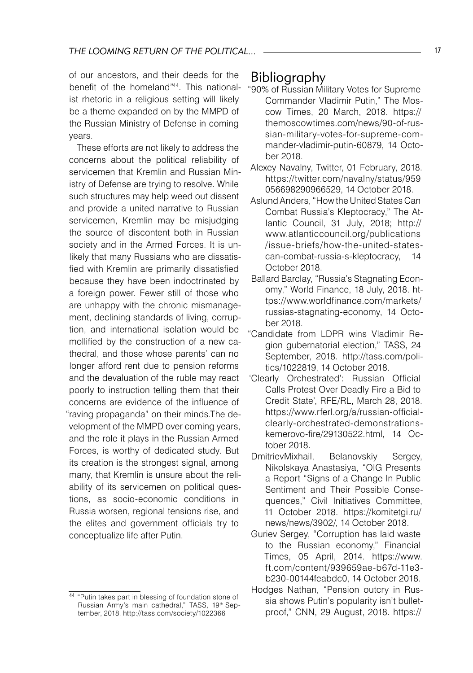of our ancestors, and their deeds for the benefit of the homeland"44. This nationalist rhetoric in a religious setting will likely be a theme expanded on by the MMPD of the Russian Ministry of Defense in coming years.

These efforts are not likely to address the concerns about the political reliability of servicemen that Kremlin and Russian Ministry of Defense are trying to resolve. While such structures may help weed out dissent and provide a united narrative to Russian servicemen, Kremlin may be misjudging the source of discontent both in Russian society and in the Armed Forces. It is unlikely that many Russians who are dissatisfied with Kremlin are primarily dissatisfied because they have been indoctrinated by a foreign power. Fewer still of those who are unhappy with the chronic mismanagement, declining standards of living, corruption, and international isolation would be mollified by the construction of a new cathedral, and those whose parents' can no longer afford rent due to pension reforms and the devaluation of the ruble may react poorly to instruction telling them that their concerns are evidence of the influence of "raving propaganda" on their minds.The development of the MMPD over coming years, and the role it plays in the Russian Armed Forces, is worthy of dedicated study. But its creation is the strongest signal, among many, that Kremlin is unsure about the reliability of its servicemen on political questions, as socio-economic conditions in Russia worsen, regional tensions rise, and the elites and government officials try to conceptualize life after Putin.

### Bibliography

- "90% of Russian Military Votes for Supreme Commander Vladimir Putin," The Moscow Times, 20 March, 2018. https:// themoscowtimes.com/news/90-of-russian-military-votes-for-supreme-commander-vladimir-putin-60879, 14 October 2018.
- Alexey Navalny, Twitter, 01 February, 2018. https://twitter.com/navalny/status/959 056698290966529, 14 October 2018.
- Aslund Anders, "How the United States Can Combat Russia's Kleptocracy," The Atlantic Council, 31 July, 2018; http:// www.atlanticcouncil.org/publications /issue-briefs/how-the-united-statescan-combat-russia-s-kleptocracy, 14 October 2018.
- Ballard Barclay, "Russia's Stagnating Economy," World Finance, 18 July, 2018. https://www.worldfinance.com/markets/ russias-stagnating-economy, 14 October 2018.
- "Candidate from LDPR wins Vladimir Region gubernatorial election," TASS, 24 September, 2018. http://tass.com/politics/1022819, 14 October 2018.
- 'Clearly Orchestrated': Russian Official Calls Protest Over Deadly Fire a Bid to Credit State', RFE/RL, March 28, 2018. https://www.rferl.org/a/russian-officialclearly-orchestrated-demonstrationskemerovo-fire/29130522.html, 14 October 2018.
- DmitrievMixhail, Belanovskiy Sergey, Nikolskaya Anastasiya, "OIG Presents a Report "Signs of a Change In Public Sentiment and Their Possible Consequences," Civil Initiatives Committee, 11 October 2018. https://komitetgi.ru/ news/news/3902/, 14 October 2018.
- Guriev Sergey, "Corruption has laid waste to the Russian economy," Financial Times, 05 April, 2014. https://www. ft.com/content/939659ae-b67d-11e3 b230-00144feabdc0, 14 October 2018.
- Hodges Nathan, "Pension outcry in Russia shows Putin's popularity isn't bulletproof," CNN, 29 August, 2018. https://

<sup>44 &</sup>quot;Putin takes part in blessing of foundation stone of Russian Army's main cathedral," TASS, 19th September, 2018. http://tass.com/society/1022366